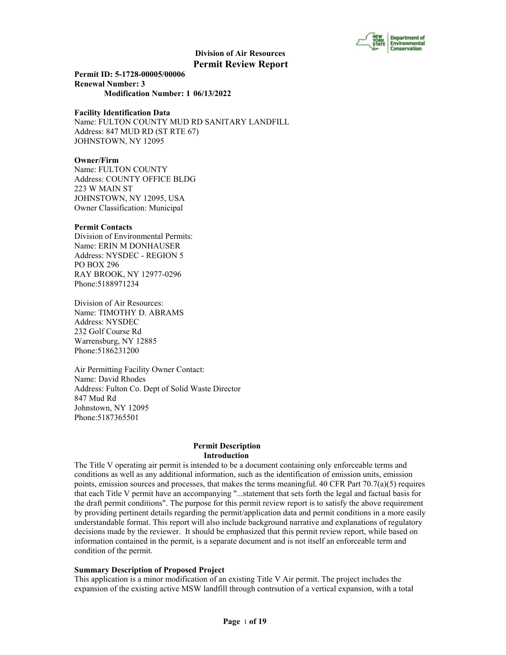

**Permit ID: 5-1728-00005/00006 Renewal Number: 3 Modification Number: 1 06/13/2022**

#### **Facility Identification Data**

Name: FULTON COUNTY MUD RD SANITARY LANDFILL Address: 847 MUD RD (ST RTE 67) JOHNSTOWN, NY 12095

#### **Owner/Firm**

Name: FULTON COUNTY Address: COUNTY OFFICE BLDG 223 W MAIN ST JOHNSTOWN, NY 12095, USA Owner Classification: Municipal

#### **Permit Contacts**

Division of Environmental Permits: Name: ERIN M DONHAUSER Address: NYSDEC - REGION 5 PO BOX 296 RAY BROOK, NY 12977-0296 Phone:5188971234

Division of Air Resources: Name: TIMOTHY D. ABRAMS Address: NYSDEC 232 Golf Course Rd Warrensburg, NY 12885 Phone:5186231200

Air Permitting Facility Owner Contact: Name: David Rhodes Address: Fulton Co. Dept of Solid Waste Director 847 Mud Rd Johnstown, NY 12095 Phone:5187365501

#### **Permit Description Introduction**

The Title V operating air permit is intended to be a document containing only enforceable terms and conditions as well as any additional information, such as the identification of emission units, emission points, emission sources and processes, that makes the terms meaningful. 40 CFR Part  $70.7(a)(5)$  requires that each Title V permit have an accompanying "...statement that sets forth the legal and factual basis for the draft permit conditions". The purpose for this permit review report is to satisfy the above requirement by providing pertinent details regarding the permit/application data and permit conditions in a more easily understandable format. This report will also include background narrative and explanations of regulatory decisions made by the reviewer. It should be emphasized that this permit review report, while based on information contained in the permit, is a separate document and is not itself an enforceable term and condition of the permit.

#### **Summary Description of Proposed Project**

This application is a minor modification of an existing Title V Air permit. The project includes the expansion of the existing active MSW landfill through contrsution of a vertical expansion, with a total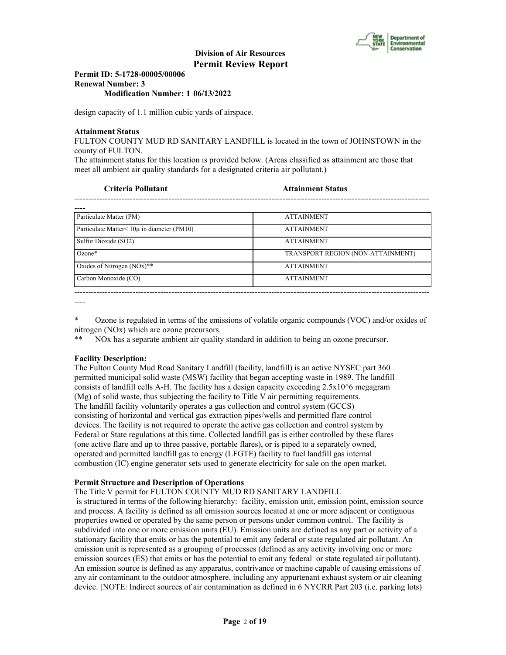

#### **Permit ID: 5-1728-00005/00006 Renewal Number: 3 Modification Number: 1 06/13/2022**

design capacity of 1.1 million cubic yards of airspace.

#### **Attainment Status**

FULTON COUNTY MUD RD SANITARY LANDFILL is located in the town of JOHNSTOWN in the county of FULTON.

The attainment status for this location is provided below. (Areas classified as attainment are those that meet all ambient air quality standards for a designated criteria air pollutant.)

**Criteria Pollutant Attainment Status**

| Particulate Matter (PM)                            | <b>ATTAINMENT</b>                 |
|----------------------------------------------------|-----------------------------------|
| Particulate Matter $\leq 10\mu$ in diameter (PM10) | <b>ATTAINMENT</b>                 |
| Sulfur Dioxide (SO2)                               | <b>ATTAINMENT</b>                 |
| $Ozone*$                                           | TRANSPORT REGION (NON-ATTAINMENT) |
| Oxides of Nitrogen $(NOx)$ **                      | <b>ATTAINMENT</b>                 |
| Carbon Monoxide (CO)                               | <b>ATTAINMENT</b>                 |

----

\* Ozone is regulated in terms of the emissions of volatile organic compounds (VOC) and/or oxides of nitrogen (NOx) which are ozone precursors.

NOx has a separate ambient air quality standard in addition to being an ozone precursor.

#### **Facility Description:**

The Fulton County Mud Road Sanitary Landfill (facility, landfill) is an active NYSEC part 360 permitted municipal solid waste (MSW) facility that began accepting waste in 1989. The landfill consists of landfill cells A-H. The facility has a design capacity exceeding  $2.5x10<sup>6</sup>$  megagram (Mg) of solid waste, thus subjecting the facility to Title V air permitting requirements. The landfill facility voluntarily operates a gas collection and control system (GCCS) consisting of horizontal and vertical gas extraction pipes/wells and permitted flare control devices. The facility is not required to operate the active gas collection and control system by Federal or State regulations at this time. Collected landfill gas is either controlled by these flares (one active flare and up to three passive, portable flares), or is piped to a separately owned, operated and permitted landfill gas to energy (LFGTE) facility to fuel landfill gas internal combustion (IC) engine generator sets used to generate electricity for sale on the open market.

#### **Permit Structure and Description of Operations**

The Title V permit for FULTON COUNTY MUD RD SANITARY LANDFILL

 is structured in terms of the following hierarchy: facility, emission unit, emission point, emission source and process. A facility is defined as all emission sources located at one or more adjacent or contiguous properties owned or operated by the same person or persons under common control. The facility is subdivided into one or more emission units (EU). Emission units are defined as any part or activity of a stationary facility that emits or has the potential to emit any federal or state regulated air pollutant. An emission unit is represented as a grouping of processes (defined as any activity involving one or more emission sources (ES) that emits or has the potential to emit any federal or state regulated air pollutant). An emission source is defined as any apparatus, contrivance or machine capable of causing emissions of any air contaminant to the outdoor atmosphere, including any appurtenant exhaust system or air cleaning device. [NOTE: Indirect sources of air contamination as defined in 6 NYCRR Part 203 (i.e. parking lots)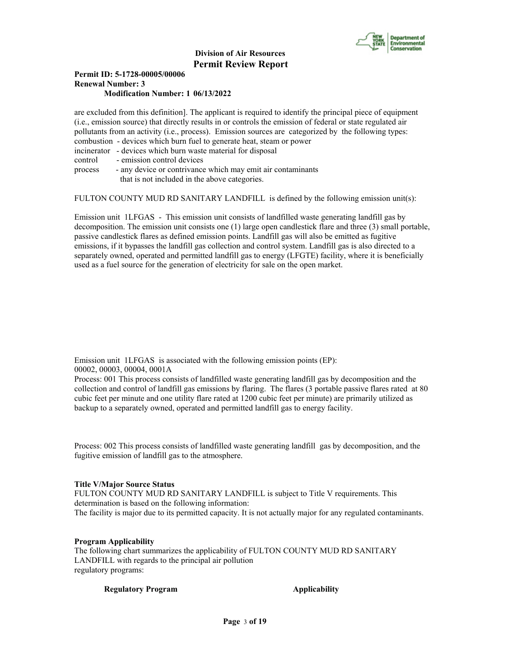

#### **Permit ID: 5-1728-00005/00006 Renewal Number: 3 Modification Number: 1 06/13/2022**

are excluded from this definition]. The applicant is required to identify the principal piece of equipment (i.e., emission source) that directly results in or controls the emission of federal or state regulated air pollutants from an activity (i.e., process). Emission sources are categorized by the following types: combustion - devices which burn fuel to generate heat, steam or power incinerator - devices which burn waste material for disposal control - emission control devices process - any device or contrivance which may emit air contaminants

that is not included in the above categories.

FULTON COUNTY MUD RD SANITARY LANDFILL is defined by the following emission unit(s):

Emission unit 1LFGAS - This emission unit consists of landfilled waste generating landfill gas by decomposition. The emission unit consists one (1) large open candlestick flare and three (3) small portable, passive candlestick flares as defined emission points. Landfill gas will also be emitted as fugitive emissions, if it bypasses the landfill gas collection and control system. Landfill gas is also directed to a separately owned, operated and permitted landfill gas to energy (LFGTE) facility, where it is beneficially used as a fuel source for the generation of electricity for sale on the open market.

Emission unit 1LFGAS is associated with the following emission points (EP): 00002, 00003, 00004, 0001A

Process: 001 This process consists of landfilled waste generating landfill gas by decomposition and the collection and control of landfill gas emissions by flaring. The flares (3 portable passive flares rated at 80 cubic feet per minute and one utility flare rated at 1200 cubic feet per minute) are primarily utilized as backup to a separately owned, operated and permitted landfill gas to energy facility.

Process: 002 This process consists of landfilled waste generating landfill gas by decomposition, and the fugitive emission of landfill gas to the atmosphere.

#### **Title V/Major Source Status**

FULTON COUNTY MUD RD SANITARY LANDFILL is subject to Title V requirements. This determination is based on the following information: The facility is major due to its permitted capacity. It is not actually major for any regulated contaminants.

#### **Program Applicability**

The following chart summarizes the applicability of FULTON COUNTY MUD RD SANITARY LANDFILL with regards to the principal air pollution regulatory programs:

**Regulatory Program Applicability**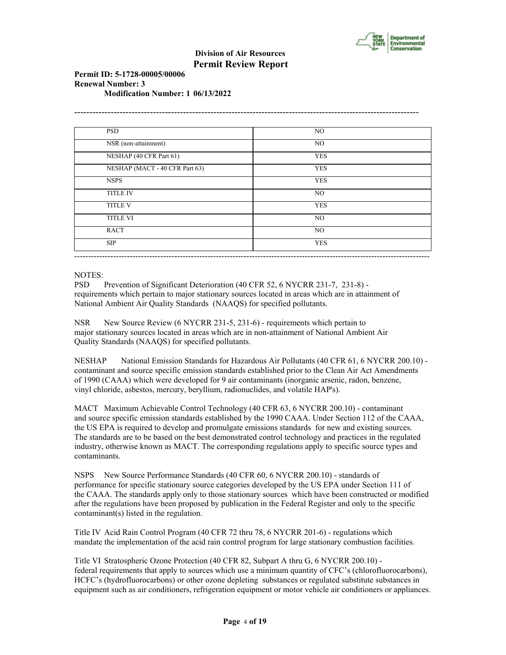

#### **Permit ID: 5-1728-00005/00006 Renewal Number: 3 Modification Number: 1 06/13/2022**

| <b>PSD</b>                     | NO.        |
|--------------------------------|------------|
| NSR (non-attainment)           | NO.        |
| NESHAP (40 CFR Part 61)        | <b>YES</b> |
| NESHAP (MACT - 40 CFR Part 63) | <b>YES</b> |
| <b>NSPS</b>                    | <b>YES</b> |
| <b>TITLE IV</b>                | NO.        |
| <b>TITLE V</b>                 | <b>YES</b> |
| <b>TITLE VI</b>                | NO         |
| <b>RACT</b>                    | NO         |
| <b>SIP</b>                     | <b>YES</b> |

#### NOTES:

PSD Prevention of Significant Deterioration (40 CFR 52, 6 NYCRR 231-7, 231-8) requirements which pertain to major stationary sources located in areas which are in attainment of National Ambient Air Quality Standards (NAAQS) for specified pollutants.

NSR New Source Review (6 NYCRR 231-5, 231-6) - requirements which pertain to major stationary sources located in areas which are in non-attainment of National Ambient Air Quality Standards (NAAQS) for specified pollutants.

NESHAP National Emission Standards for Hazardous Air Pollutants (40 CFR 61, 6 NYCRR 200.10) contaminant and source specific emission standards established prior to the Clean Air Act Amendments of 1990 (CAAA) which were developed for 9 air contaminants (inorganic arsenic, radon, benzene, vinyl chloride, asbestos, mercury, beryllium, radionuclides, and volatile HAP's).

MACT Maximum Achievable Control Technology (40 CFR 63, 6 NYCRR 200.10) - contaminant and source specific emission standards established by the 1990 CAAA. Under Section 112 of the CAAA, the US EPA is required to develop and promulgate emissions standards for new and existing sources. The standards are to be based on the best demonstrated control technology and practices in the regulated industry, otherwise known as MACT. The corresponding regulations apply to specific source types and contaminants.

NSPS New Source Performance Standards (40 CFR 60, 6 NYCRR 200.10) - standards of performance for specific stationary source categories developed by the US EPA under Section 111 of the CAAA. The standards apply only to those stationary sources which have been constructed or modified after the regulations have been proposed by publication in the Federal Register and only to the specific contaminant(s) listed in the regulation.

Title IV Acid Rain Control Program (40 CFR 72 thru 78, 6 NYCRR 201-6) - regulations which mandate the implementation of the acid rain control program for large stationary combustion facilities.

Title VI Stratospheric Ozone Protection (40 CFR 82, Subpart A thru G, 6 NYCRR 200.10) federal requirements that apply to sources which use a minimum quantity of CFC's (chlorofluorocarbons), HCFC's (hydrofluorocarbons) or other ozone depleting substances or regulated substitute substances in equipment such as air conditioners, refrigeration equipment or motor vehicle air conditioners or appliances.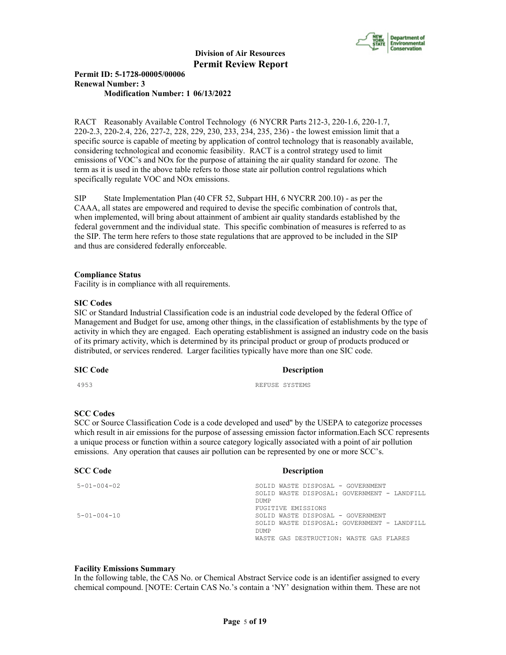

#### **Permit ID: 5-1728-00005/00006 Renewal Number: 3 Modification Number: 1 06/13/2022**

RACT Reasonably Available Control Technology (6 NYCRR Parts 212-3, 220-1.6, 220-1.7, 220-2.3, 220-2.4, 226, 227-2, 228, 229, 230, 233, 234, 235, 236) - the lowest emission limit that a specific source is capable of meeting by application of control technology that is reasonably available, considering technological and economic feasibility. RACT is a control strategy used to limit emissions of VOC's and NOx for the purpose of attaining the air quality standard for ozone. The term as it is used in the above table refers to those state air pollution control regulations which specifically regulate VOC and NOx emissions.

SIP State Implementation Plan (40 CFR 52, Subpart HH, 6 NYCRR 200.10) - as per the CAAA, all states are empowered and required to devise the specific combination of controls that, when implemented, will bring about attainment of ambient air quality standards established by the federal government and the individual state. This specific combination of measures is referred to as the SIP. The term here refers to those state regulations that are approved to be included in the SIP and thus are considered federally enforceable.

#### **Compliance Status**

Facility is in compliance with all requirements.

#### **SIC Codes**

SIC or Standard Industrial Classification code is an industrial code developed by the federal Office of Management and Budget for use, among other things, in the classification of establishments by the type of activity in which they are engaged. Each operating establishment is assigned an industry code on the basis of its primary activity, which is determined by its principal product or group of products produced or distributed, or services rendered. Larger facilities typically have more than one SIC code.

#### **SIC Code Description**

4953 REFUSE SYSTEMS

#### **SCC Codes**

SCC or Source Classification Code is a code developed and used'' by the USEPA to categorize processes which result in air emissions for the purpose of assessing emission factor information.Each SCC represents a unique process or function within a source category logically associated with a point of air pollution emissions. Any operation that causes air pollution can be represented by one or more SCC's.

| <b>SCC Code</b>     | <b>Description</b>                          |
|---------------------|---------------------------------------------|
| $5 - 01 - 004 - 02$ | SOLID WASTE DISPOSAL - GOVERNMENT           |
|                     | SOLID WASTE DISPOSAL: GOVERNMENT - LANDFILL |
|                     | <b>DUMP</b>                                 |
|                     | FUGITIVE EMISSIONS                          |
| $5 - 01 - 004 - 10$ | SOLID WASTE DISPOSAL - GOVERNMENT           |
|                     | SOLID WASTE DISPOSAL: GOVERNMENT - LANDFILL |
|                     | <b>DUMP</b>                                 |
|                     | WASTE GAS DESTRUCTION: WASTE GAS FLARES     |
|                     |                                             |

#### **Facility Emissions Summary**

In the following table, the CAS No. or Chemical Abstract Service code is an identifier assigned to every chemical compound. [NOTE: Certain CAS No.'s contain a 'NY' designation within them. These are not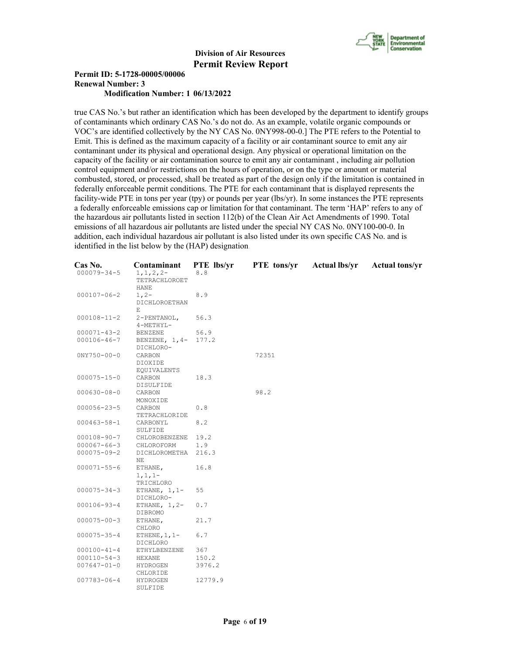

#### **Permit ID: 5-1728-00005/00006 Renewal Number: 3 Modification Number: 1 06/13/2022**

true CAS No.'s but rather an identification which has been developed by the department to identify groups of contaminants which ordinary CAS No.'s do not do. As an example, volatile organic compounds or VOC's are identified collectively by the NY CAS No. 0NY998-00-0.] The PTE refers to the Potential to Emit. This is defined as the maximum capacity of a facility or air contaminant source to emit any air contaminant under its physical and operational design. Any physical or operational limitation on the capacity of the facility or air contamination source to emit any air contaminant , including air pollution control equipment and/or restrictions on the hours of operation, or on the type or amount or material combusted, stored, or processed, shall be treated as part of the design only if the limitation is contained in federally enforceable permit conditions. The PTE for each contaminant that is displayed represents the facility-wide PTE in tons per year (tpy) or pounds per year (lbs/yr). In some instances the PTE represents a federally enforceable emissions cap or limitation for that contaminant. The term 'HAP' refers to any of the hazardous air pollutants listed in section 112(b) of the Clean Air Act Amendments of 1990. Total emissions of all hazardous air pollutants are listed under the special NY CAS No. 0NY100-00-0. In addition, each individual hazardous air pollutant is also listed under its own specific CAS No. and is identified in the list below by the (HAP) designation.

| Cas No.           | Contaminant      | PTE lbs/yr | PTE tons/yr | <b>Actual lbs/yr</b> | <b>Actual tons/yr</b> |
|-------------------|------------------|------------|-------------|----------------------|-----------------------|
| $000079 - 34 - 5$ | $1, 1, 2, 2-$    | 8.8        |             |                      |                       |
|                   | TETRACHLOROET    |            |             |                      |                       |
|                   | HANE             |            |             |                      |                       |
| $000107 - 06 - 2$ | $1, 2-$          | 8.9        |             |                      |                       |
|                   | DICHLOROETHAN    |            |             |                      |                       |
|                   | Е                |            |             |                      |                       |
| $000108 - 11 - 2$ | 2-PENTANOL,      | 56.3       |             |                      |                       |
|                   | 4-METHYL-        |            |             |                      |                       |
| $000071 - 43 - 2$ | <b>BENZENE</b>   | 56.9       |             |                      |                       |
| $000106 - 46 - 7$ | BENZENE, $1, 4-$ | 177.2      |             |                      |                       |
|                   | DICHLORO-        |            |             |                      |                       |
| $0NY750 - 00 - 0$ | CARBON           |            | 72351       |                      |                       |
|                   | DIOXIDE          |            |             |                      |                       |
|                   | EQUIVALENTS      |            |             |                      |                       |
| $000075 - 15 - 0$ | CARBON           | 18.3       |             |                      |                       |
|                   | DISULFIDE        |            |             |                      |                       |
| $000630 - 08 - 0$ | CARBON           |            | 98.2        |                      |                       |
|                   | MONOXIDE         |            |             |                      |                       |
| $000056 - 23 - 5$ | CARBON           | 0.8        |             |                      |                       |
|                   | TETRACHLORIDE    |            |             |                      |                       |
| $000463 - 58 - 1$ | CARBONYL         | 8.2        |             |                      |                       |
|                   | SULFIDE          |            |             |                      |                       |
| $000108 - 90 - 7$ | CHLOROBENZENE    | 19.2       |             |                      |                       |
| $000067 - 66 - 3$ | CHLOROFORM       | 1.9        |             |                      |                       |
| $000075 - 09 - 2$ | DICHLOROMETHA    | 216.3      |             |                      |                       |
|                   | NΕ               |            |             |                      |                       |
| $000071 - 55 - 6$ | ETHANE,          | 16.8       |             |                      |                       |
|                   | $1, 1, 1-$       |            |             |                      |                       |
|                   | TRICHLORO        |            |             |                      |                       |
| $000075 - 34 - 3$ | ETHANE, $1, 1-$  | 55         |             |                      |                       |
|                   | DICHLORO-        |            |             |                      |                       |
| $000106 - 93 - 4$ | ETHANE, $1, 2-$  | 0.7        |             |                      |                       |
|                   | DIBROMO          |            |             |                      |                       |
| $000075 - 00 - 3$ | ETHANE,          | 21.7       |             |                      |                       |
|                   | CHLORO           |            |             |                      |                       |
| $000075 - 35 - 4$ | ETHENE, $1, 1-$  | 6.7        |             |                      |                       |
|                   | DICHLORO         |            |             |                      |                       |
| $000100 - 41 - 4$ | ETHYLBENZENE     | 367        |             |                      |                       |
| $000110 - 54 - 3$ | HEXANE           | 150.2      |             |                      |                       |
| $007647 - 01 - 0$ | HYDROGEN         | 3976.2     |             |                      |                       |
|                   | CHLORIDE         |            |             |                      |                       |
| $007783 - 06 - 4$ | HYDROGEN         | 12779.9    |             |                      |                       |
|                   | SULFIDE          |            |             |                      |                       |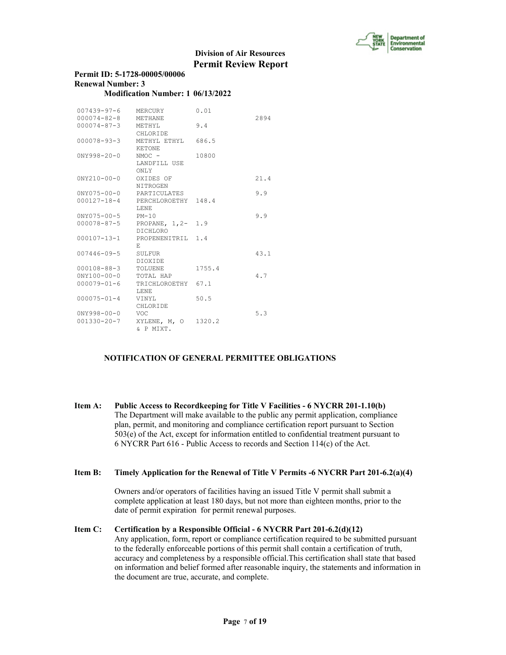

| Permit ID: 5-1728-00005/00006     |  |
|-----------------------------------|--|
| <b>Renewal Number: 3</b>          |  |
| Modification Number: 1 06/13/2022 |  |

| 007439-97-6<br>$000074 - 82 - 8$ | MERCURY<br>METHANE              | 0.01   | 2894 |
|----------------------------------|---------------------------------|--------|------|
|                                  |                                 | 9.4    |      |
| 000074-87-3                      | METHYL                          |        |      |
|                                  | CHLORIDE                        |        |      |
| 000078-93-3                      | METHYL ETHYL 686.5              |        |      |
|                                  | <b>KETONE</b>                   |        |      |
| $0NY998 - 20 - 0$                | $NMOC -$                        | 10800  |      |
|                                  | LANDFILL USE<br>ONLY            |        |      |
| $0NY210 - 00 - 0$                | OXIDES OF                       |        | 21.4 |
|                                  | NITROGEN                        |        |      |
| 0NY075-00-0 PARTICULATES         |                                 |        | 9.9  |
|                                  | 000127-18-4 PERCHLOROETHY 148.4 |        |      |
|                                  | T.ENE                           |        |      |
| 0NY075-00-5 PM-10                |                                 |        | 9.9  |
|                                  | 000078-87-5 PROPANE, 1,2- 1.9   |        |      |
|                                  | DICHLORO                        |        |      |
| 000107-13-1                      | PROPENENITRIL 1.4               |        |      |
|                                  | Е.                              |        |      |
| 007446-09-5                      | SULFUR                          |        | 43.1 |
|                                  | DIOXIDE.                        |        |      |
| 000108-88-3                      | TOLUENE                         | 1755.4 |      |
| $0NY100 - 00 - 0$ TOTAL HAP      |                                 |        | 4.7  |
| $000079 - 01 - 6$                | TRICHLOROETHY 67.1              |        |      |
|                                  | T.ENE                           |        |      |
| $000075 - 01 - 4$                | VINYL                           | 50.5   |      |
|                                  | CHLORIDE                        |        |      |
| $0NY998 - 00 - 0$                | <b>VOC</b>                      |        | 5.3  |
| $001330 - 20 - 7$                | XYLENE, M, O 1320.2             |        |      |
|                                  | & P MIXT.                       |        |      |

#### **NOTIFICATION OF GENERAL PERMITTEE OBLIGATIONS**

**Item A: Public Access to Recordkeeping for Title V Facilities - 6 NYCRR 201-1.10(b)** The Department will make available to the public any permit application, compliance plan, permit, and monitoring and compliance certification report pursuant to Section 503(e) of the Act, except for information entitled to confidential treatment pursuant to 6 NYCRR Part 616 - Public Access to records and Section 114(c) of the Act.

#### **Item B: Timely Application for the Renewal of Title V Permits -6 NYCRR Part 201-6.2(a)(4)**

 Owners and/or operators of facilities having an issued Title V permit shall submit a complete application at least 180 days, but not more than eighteen months, prior to the date of permit expiration for permit renewal purposes.

# **Item C: Certification by a Responsible Official - 6 NYCRR Part 201-6.2(d)(12)**

 Any application, form, report or compliance certification required to be submitted pursuant to the federally enforceable portions of this permit shall contain a certification of truth, accuracy and completeness by a responsible official.This certification shall state that based on information and belief formed after reasonable inquiry, the statements and information in the document are true, accurate, and complete.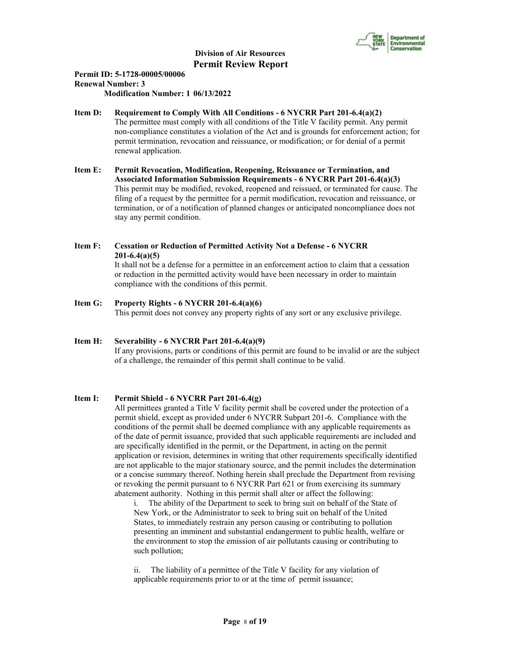

## **Permit ID: 5-1728-00005/00006 Renewal Number: 3**

**Modification Number: 1 06/13/2022**

#### **Item D: Requirement to Comply With All Conditions - 6 NYCRR Part 201-6.4(a)(2)**

 The permittee must comply with all conditions of the Title V facility permit. Any permit non-compliance constitutes a violation of the Act and is grounds for enforcement action; for permit termination, revocation and reissuance, or modification; or for denial of a permit renewal application.

- **Item E: Permit Revocation, Modification, Reopening, Reissuance or Termination, and Associated Information Submission Requirements - 6 NYCRR Part 201-6.4(a)(3)** This permit may be modified, revoked, reopened and reissued, or terminated for cause. The filing of a request by the permittee for a permit modification, revocation and reissuance, or termination, or of a notification of planned changes or anticipated noncompliance does not stay any permit condition.
- **Item F: Cessation or Reduction of Permitted Activity Not a Defense 6 NYCRR 201-6.4(a)(5)** It shall not be a defense for a permittee in an enforcement action to claim that a cessation

 or reduction in the permitted activity would have been necessary in order to maintain compliance with the conditions of this permit.

**Item G: Property Rights - 6 NYCRR 201-6.4(a)(6)** This permit does not convey any property rights of any sort or any exclusive privilege.

### **Item H: Severability - 6 NYCRR Part 201-6.4(a)(9)**

 If any provisions, parts or conditions of this permit are found to be invalid or are the subject of a challenge, the remainder of this permit shall continue to be valid.

#### **Item I: Permit Shield - 6 NYCRR Part 201-6.4(g)**

 All permittees granted a Title V facility permit shall be covered under the protection of a permit shield, except as provided under 6 NYCRR Subpart 201-6. Compliance with the conditions of the permit shall be deemed compliance with any applicable requirements as of the date of permit issuance, provided that such applicable requirements are included and are specifically identified in the permit, or the Department, in acting on the permit application or revision, determines in writing that other requirements specifically identified are not applicable to the major stationary source, and the permit includes the determination or a concise summary thereof. Nothing herein shall preclude the Department from revising or revoking the permit pursuant to 6 NYCRR Part 621 or from exercising its summary abatement authority. Nothing in this permit shall alter or affect the following:

i. The ability of the Department to seek to bring suit on behalf of the State of New York, or the Administrator to seek to bring suit on behalf of the United States, to immediately restrain any person causing or contributing to pollution presenting an imminent and substantial endangerment to public health, welfare or the environment to stop the emission of air pollutants causing or contributing to such pollution;

The liability of a permittee of the Title V facility for any violation of applicable requirements prior to or at the time of permit issuance;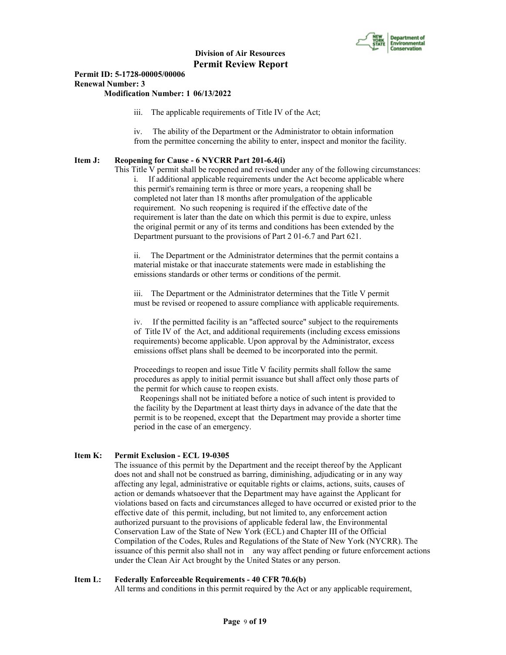

#### **Permit ID: 5-1728-00005/00006 Renewal Number: 3 Modification Number: 1 06/13/2022**

#### iii. The applicable requirements of Title IV of the Act;

iv. The ability of the Department or the Administrator to obtain information from the permittee concerning the ability to enter, inspect and monitor the facility.

#### **Item J: Reopening for Cause - 6 NYCRR Part 201-6.4(i)**

This Title V permit shall be reopened and revised under any of the following circumstances:

i. If additional applicable requirements under the Act become applicable where this permit's remaining term is three or more years, a reopening shall be completed not later than 18 months after promulgation of the applicable requirement. No such reopening is required if the effective date of the requirement is later than the date on which this permit is due to expire, unless the original permit or any of its terms and conditions has been extended by the Department pursuant to the provisions of Part 2 01-6.7 and Part 621.

ii. The Department or the Administrator determines that the permit contains a material mistake or that inaccurate statements were made in establishing the emissions standards or other terms or conditions of the permit.

iii. The Department or the Administrator determines that the Title V permit must be revised or reopened to assure compliance with applicable requirements.

iv. If the permitted facility is an "affected source" subject to the requirements of Title IV of the Act, and additional requirements (including excess emissions requirements) become applicable. Upon approval by the Administrator, excess emissions offset plans shall be deemed to be incorporated into the permit.

Proceedings to reopen and issue Title V facility permits shall follow the same procedures as apply to initial permit issuance but shall affect only those parts of the permit for which cause to reopen exists.

 Reopenings shall not be initiated before a notice of such intent is provided to the facility by the Department at least thirty days in advance of the date that the permit is to be reopened, except that the Department may provide a shorter time period in the case of an emergency.

#### **Item K: Permit Exclusion - ECL 19-0305**

 The issuance of this permit by the Department and the receipt thereof by the Applicant does not and shall not be construed as barring, diminishing, adjudicating or in any way affecting any legal, administrative or equitable rights or claims, actions, suits, causes of action or demands whatsoever that the Department may have against the Applicant for violations based on facts and circumstances alleged to have occurred or existed prior to the effective date of this permit, including, but not limited to, any enforcement action authorized pursuant to the provisions of applicable federal law, the Environmental Conservation Law of the State of New York (ECL) and Chapter III of the Official Compilation of the Codes, Rules and Regulations of the State of New York (NYCRR). The issuance of this permit also shall not in any way affect pending or future enforcement actions under the Clean Air Act brought by the United States or any person.

#### **Item L: Federally Enforceable Requirements - 40 CFR 70.6(b)**

All terms and conditions in this permit required by the Act or any applicable requirement,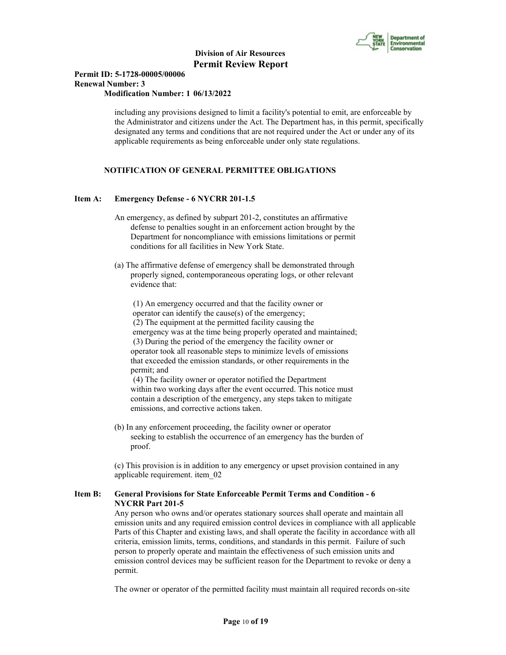

#### **Permit ID: 5-1728-00005/00006 Renewal Number: 3 Modification Number: 1 06/13/2022**

 including any provisions designed to limit a facility's potential to emit, are enforceable by the Administrator and citizens under the Act. The Department has, in this permit, specifically designated any terms and conditions that are not required under the Act or under any of its applicable requirements as being enforceable under only state regulations.

### **NOTIFICATION OF GENERAL PERMITTEE OBLIGATIONS**

#### **Item A: Emergency Defense - 6 NYCRR 201-1.5**

- An emergency, as defined by subpart 201-2, constitutes an affirmative defense to penalties sought in an enforcement action brought by the Department for noncompliance with emissions limitations or permit conditions for all facilities in New York State.
- (a) The affirmative defense of emergency shall be demonstrated through properly signed, contemporaneous operating logs, or other relevant evidence that:

 (1) An emergency occurred and that the facility owner or operator can identify the cause(s) of the emergency;

 (2) The equipment at the permitted facility causing the emergency was at the time being properly operated and maintained; (3) During the period of the emergency the facility owner or operator took all reasonable steps to minimize levels of emissions that exceeded the emission standards, or other requirements in the permit; and

 (4) The facility owner or operator notified the Department within two working days after the event occurred. This notice must contain a description of the emergency, any steps taken to mitigate emissions, and corrective actions taken.

 (b) In any enforcement proceeding, the facility owner or operator seeking to establish the occurrence of an emergency has the burden of proof.

 (c) This provision is in addition to any emergency or upset provision contained in any applicable requirement. item\_02

#### **Item B: General Provisions for State Enforceable Permit Terms and Condition - 6 NYCRR Part 201-5**

 Any person who owns and/or operates stationary sources shall operate and maintain all emission units and any required emission control devices in compliance with all applicable Parts of this Chapter and existing laws, and shall operate the facility in accordance with all criteria, emission limits, terms, conditions, and standards in this permit. Failure of such person to properly operate and maintain the effectiveness of such emission units and emission control devices may be sufficient reason for the Department to revoke or deny a permit.

The owner or operator of the permitted facility must maintain all required records on-site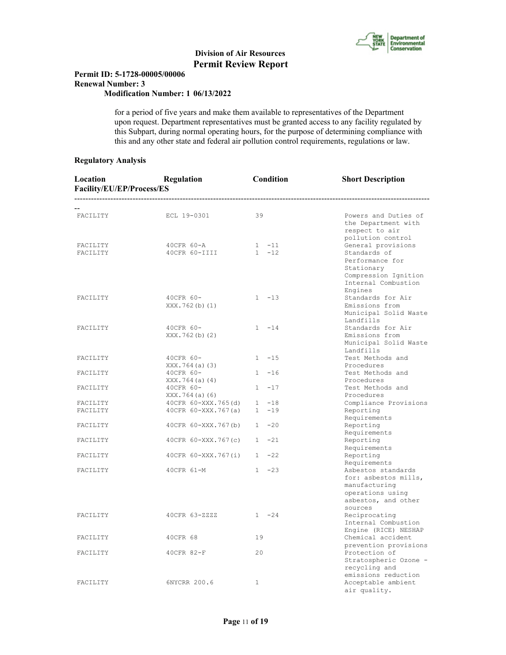

#### **Permit ID: 5-1728-00005/00006 Renewal Number: 3 Modification Number: 1 06/13/2022**

 for a period of five years and make them available to representatives of the Department upon request. Department representatives must be granted access to any facility regulated by this Subpart, during normal operating hours, for the purpose of determining compliance with this and any other state and federal air pollution control requirements, regulations or law.

#### **Regulatory Analysis**

| Location<br>Facility/EU/EP/Process/ES | Regulation                  | Condition    | <b>Short Description</b>                                                                                |
|---------------------------------------|-----------------------------|--------------|---------------------------------------------------------------------------------------------------------|
| FACILITY                              | ECL 19-0301                 | 39           | Powers and Duties of<br>the Department with<br>respect to air<br>pollution control                      |
| FACILITY                              | 40CFR 60-A                  | $1 - 11$     | General provisions                                                                                      |
| FACILITY                              | 40CFR 60-IIII               | $1 - 12$     | Standards of<br>Performance for<br>Stationary<br>Compression Ignition<br>Internal Combustion<br>Engines |
| FACILITY                              | 40CFR 60-<br>XXX.762(b)(1)  | $1 - 13$     | Standards for Air<br>Emissions from<br>Municipal Solid Waste<br>Landfills                               |
| FACILITY                              | 40CFR 60-<br>XXX.762(b)(2)  | $1 - 14$     | Standards for Air<br>Emissions from<br>Municipal Solid Waste<br>Landfills                               |
| FACILITY                              | 40CFR 60-<br>XXX.764(a) (3) | $1 - 15$     | Test Methods and<br>Procedures                                                                          |
| FACILITY                              | 40CFR 60-<br>XXX.764(a) (4) | $1 - 16$     | Test Methods and<br>Procedures                                                                          |
| FACILITY                              | 40CFR 60-<br>XXX.764(a) (6) | $1 - 17$     | Test Methods and<br>Procedures                                                                          |
| FACILITY                              | 40CFR 60-XXX.765(d)         | $1 - 18$     | Compliance Provisions                                                                                   |
| FACILITY                              | 40CFR 60-XXX.767(a)         | $1 - 19$     | Reporting<br>Requirements                                                                               |
| FACILITY                              | 40CFR 60-XXX.767(b)         | $1 -20$      | Reporting<br>Requirements                                                                               |
| FACILITY                              | 40CFR 60-XXX.767(c)         | $1 -21$      | Reporting<br>Requirements                                                                               |
| FACILITY                              | 40CFR 60-XXX.767(i)         | $1 -22$      | Reporting<br>Requirements                                                                               |
| FACILITY                              | 40CFR 61-M                  | $1 -23$      | Asbestos standards<br>for: asbestos mills,<br>manufacturing<br>operations using<br>asbestos, and other  |
| FACILITY                              | 40CFR 63-ZZZZ               | $1 -24$      | sources<br>Reciprocating<br>Internal Combustion<br>Engine (RICE) NESHAP                                 |
| FACILITY                              | 40CFR 68                    | 19           | Chemical accident<br>prevention provisions                                                              |
| FACILITY                              | 40CFR 82-F                  | 20           | Protection of<br>Stratospheric Ozone -<br>recycling and<br>emissions reduction                          |
| FACILITY                              | 6NYCRR 200.6                | $\mathbf{1}$ | Acceptable ambient<br>air quality.                                                                      |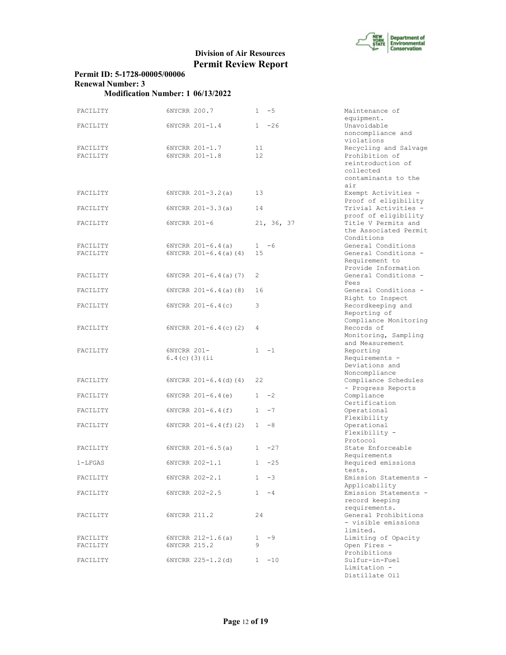

## **Permit ID: 5-1728-00005/00006 Renewal Number: 3**

| FACILITY             | 6NYCRR 200.7                     | $1 - 5$               | Maintenance of<br>equipment.                                |
|----------------------|----------------------------------|-----------------------|-------------------------------------------------------------|
| FACILITY             | 6NYCRR 201-1.4                   | $1 -26$               | Unavoidable<br>noncompliance and                            |
| FACILITY<br>FACILITY | 6NYCRR 201-1.7<br>6NYCRR 201-1.8 | 11<br>12 <sup>2</sup> | violations<br>Recycling and Salvage<br>Prohibition of       |
|                      |                                  |                       | reintroduction of<br>collected                              |
|                      |                                  |                       | contaminants to the                                         |
| FACILITY             | $6NYCRR 201-3.2(a)$              | 13                    | air<br>Exempt Activities -<br>Proof of eligibility          |
| FACILITY             | $6NYCRR 201-3.3(a)$              | 14                    | Trivial Activities -<br>proof of eligibility                |
| FACILITY             | $6NYCRR$ $201-6$                 | 21, 36, 37            | Title V Permits and<br>the Associated Permit<br>Conditions  |
| FACILITY             | $6NYCRR 201-6.4(a)$              | $1 - 6$               | General Conditions                                          |
| FACILITY             | $6NYCRR 201-6.4(a) (4)$          | 15                    | General Conditions -<br>Requirement to                      |
| FACILITY             | $6NYCRR 201-6.4(a) (7)$          | 2                     | Provide Information<br>General Conditions -<br>Fees         |
| FACILITY             | $6NYCRR 201-6.4(a) (8)$          | 16                    | General Conditions -<br>Right to Inspect                    |
| FACILITY             | $6NYCRR 201-6.4(c)$              | 3                     | Recordkeeping and<br>Reporting of                           |
| FACILITY             | $6NYCRR$ $201-6.4(c)$ (2)        | 4                     | Compliance Monitoring<br>Records of<br>Monitoring, Sampling |
| FACILITY             | 6NYCRR 201-                      | $1 - 1$               | and Measurement                                             |
|                      | $6.4(c)$ (3) (ii                 |                       | Reporting<br>Requirements -<br>Deviations and               |
|                      |                                  |                       | Noncompliance                                               |
| FACILITY             | $6NYCRR 201-6.4 (d) (4)$         | 22                    | Compliance Schedules<br>- Progress Reports                  |
| FACILITY             | $6NYCRR$ $201-6.4(e)$            | $1 -2$                | Compliance<br>Certification                                 |
| FACILITY             | 6NYCRR 201-6.4(f)                | $-7$<br>1             | Operational                                                 |
| FACILITY             | $6NYCRR 201-6.4(f)(2)$           | $1 - 8$               | Flexibility<br>Operational                                  |
|                      |                                  |                       | Flexibility -                                               |
| FACILITY             | $6NYCRR 201-6.5(a)$              | $1 -27$               | Protocol<br>State Enforceable                               |
|                      |                                  |                       | Requirements                                                |
| $1 - LFGAS$          | 6NYCRR 202-1.1                   | $-25$<br>1            | Required emissions<br>tests.                                |
| FACILITY             | 6NYCRR 202-2.1                   | -3                    | Emission Statements -<br>Applicability                      |
| FACILITY             | 6NYCRR 202-2.5                   | $1 - 4$               | Emission Statements -                                       |
|                      |                                  |                       | record keeping                                              |
|                      |                                  |                       | requirements.                                               |
| FACILITY             | 6NYCRR 211.2                     | 24                    | General Prohibitions<br>- visible emissions<br>limited.     |
| FACILITY             | $6NYCRR 212-1.6(a)$              | $1 - 9$               | Limiting of Opacity                                         |
| FACILITY             | 6NYCRR 215.2                     | 9                     | Open Fires -                                                |
| FACILITY             | 6NYCRR 225-1.2(d)                | $1 - 10$              | Prohibitions<br>Sulfur-in-Fuel                              |
|                      |                                  |                       | Limitation -                                                |

| Maintenance of                                       |
|------------------------------------------------------|
| equipment.                                           |
| Unavoidable                                          |
| noncompliance and                                    |
| violations                                           |
| Recycling and Salvage                                |
| Prohibition of                                       |
| reintroduction of                                    |
| collected                                            |
| contaminants to the                                  |
| air                                                  |
| Exempt Activities                                    |
| Proof of eligibility                                 |
| Trivial Activities -                                 |
| proof of eligibility                                 |
| Title V Permits and                                  |
| the Associated Permit                                |
| Conditions                                           |
| General Conditions                                   |
| General Conditions -                                 |
| Requirement to                                       |
| Provide Information                                  |
| General Conditions                                   |
| Fees                                                 |
| General Conditions -                                 |
| Right to Inspect                                     |
| Recordkeeping and                                    |
| Reporting of                                         |
| Compliance Monitoring                                |
| Records of                                           |
| Monitoring, Sampling                                 |
|                                                      |
| and Measurement                                      |
| Reporting                                            |
| Requirements -                                       |
| Deviations and                                       |
| Noncompliance                                        |
| Compliance Schedules                                 |
| - Progress Reports                                   |
| Compliance                                           |
| Certification                                        |
| Operational                                          |
| Flexibility                                          |
| Operational                                          |
| Flexibility                                          |
| Protocol                                             |
| State Enforceable                                    |
| Requirements                                         |
| Required emissions                                   |
| tests                                                |
| Emission Statements                                  |
| Applicability                                        |
| Emission Statements                                  |
| record keeping                                       |
| requirements.                                        |
| General Prohibitions                                 |
| - visible emissions                                  |
| limited.                                             |
| Limiting of Opacity                                  |
| Open Fires                                           |
| Prohibitions                                         |
| Sulfur-in-Fuel                                       |
| Limitation<br>$\frac{1}{\sqrt{2}}$<br>Distillate Oil |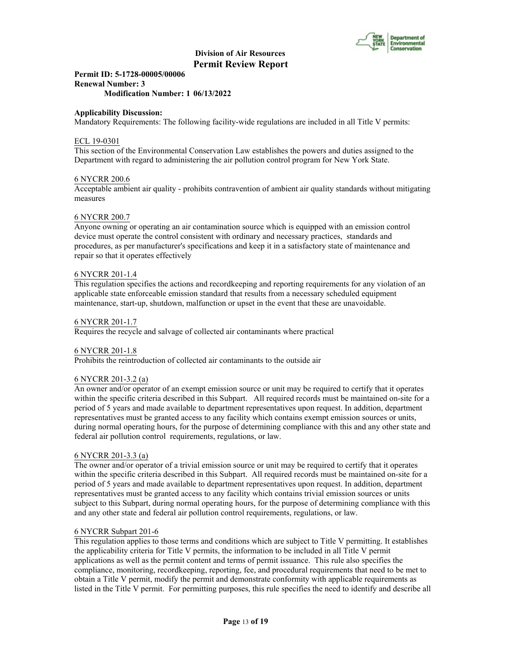

**Permit ID: 5-1728-00005/00006 Renewal Number: 3 Modification Number: 1 06/13/2022**

#### **Applicability Discussion:**

Mandatory Requirements: The following facility-wide regulations are included in all Title V permits:

#### ECL 19-0301

This section of the Environmental Conservation Law establishes the powers and duties assigned to the Department with regard to administering the air pollution control program for New York State.

#### 6 NYCRR 200.6

Acceptable ambient air quality - prohibits contravention of ambient air quality standards without mitigating measures

#### 6 NYCRR 200.7

Anyone owning or operating an air contamination source which is equipped with an emission control device must operate the control consistent with ordinary and necessary practices, standards and procedures, as per manufacturer's specifications and keep it in a satisfactory state of maintenance and repair so that it operates effectively

#### 6 NYCRR 201-1.4

This regulation specifies the actions and recordkeeping and reporting requirements for any violation of an applicable state enforceable emission standard that results from a necessary scheduled equipment maintenance, start-up, shutdown, malfunction or upset in the event that these are unavoidable.

#### 6 NYCRR 201-1.7

Requires the recycle and salvage of collected air contaminants where practical

#### 6 NYCRR 201-1.8

Prohibits the reintroduction of collected air contaminants to the outside air

#### 6 NYCRR 201-3.2 (a)

An owner and/or operator of an exempt emission source or unit may be required to certify that it operates within the specific criteria described in this Subpart. All required records must be maintained on-site for a period of 5 years and made available to department representatives upon request. In addition, department representatives must be granted access to any facility which contains exempt emission sources or units, during normal operating hours, for the purpose of determining compliance with this and any other state and federal air pollution control requirements, regulations, or law.

#### 6 NYCRR 201-3.3 (a)

The owner and/or operator of a trivial emission source or unit may be required to certify that it operates within the specific criteria described in this Subpart. All required records must be maintained on-site for a period of 5 years and made available to department representatives upon request. In addition, department representatives must be granted access to any facility which contains trivial emission sources or units subject to this Subpart, during normal operating hours, for the purpose of determining compliance with this and any other state and federal air pollution control requirements, regulations, or law.

#### 6 NYCRR Subpart 201-6

This regulation applies to those terms and conditions which are subject to Title V permitting. It establishes the applicability criteria for Title V permits, the information to be included in all Title V permit applications as well as the permit content and terms of permit issuance. This rule also specifies the compliance, monitoring, recordkeeping, reporting, fee, and procedural requirements that need to be met to obtain a Title V permit, modify the permit and demonstrate conformity with applicable requirements as listed in the Title V permit. For permitting purposes, this rule specifies the need to identify and describe all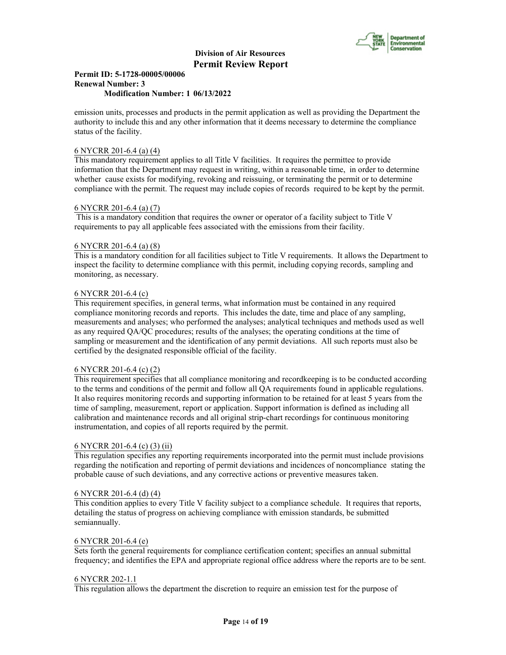

#### **Permit ID: 5-1728-00005/00006 Renewal Number: 3 Modification Number: 1 06/13/2022**

emission units, processes and products in the permit application as well as providing the Department the authority to include this and any other information that it deems necessary to determine the compliance status of the facility.

#### 6 NYCRR 201-6.4 (a) (4)

This mandatory requirement applies to all Title V facilities. It requires the permittee to provide information that the Department may request in writing, within a reasonable time, in order to determine whether cause exists for modifying, revoking and reissuing, or terminating the permit or to determine compliance with the permit. The request may include copies of records required to be kept by the permit.

#### 6 NYCRR 201-6.4 (a) (7)

 This is a mandatory condition that requires the owner or operator of a facility subject to Title V requirements to pay all applicable fees associated with the emissions from their facility.

#### 6 NYCRR 201-6.4 (a) (8)

This is a mandatory condition for all facilities subject to Title V requirements. It allows the Department to inspect the facility to determine compliance with this permit, including copying records, sampling and monitoring, as necessary.

#### 6 NYCRR 201-6.4 (c)

This requirement specifies, in general terms, what information must be contained in any required compliance monitoring records and reports. This includes the date, time and place of any sampling, measurements and analyses; who performed the analyses; analytical techniques and methods used as well as any required QA/QC procedures; results of the analyses; the operating conditions at the time of sampling or measurement and the identification of any permit deviations. All such reports must also be certified by the designated responsible official of the facility.

#### 6 NYCRR 201-6.4 (c) (2)

This requirement specifies that all compliance monitoring and recordkeeping is to be conducted according to the terms and conditions of the permit and follow all QA requirements found in applicable regulations. It also requires monitoring records and supporting information to be retained for at least 5 years from the time of sampling, measurement, report or application. Support information is defined as including all calibration and maintenance records and all original strip-chart recordings for continuous monitoring instrumentation, and copies of all reports required by the permit.

#### 6 NYCRR 201-6.4 (c) (3) (ii)

This regulation specifies any reporting requirements incorporated into the permit must include provisions regarding the notification and reporting of permit deviations and incidences of noncompliance stating the probable cause of such deviations, and any corrective actions or preventive measures taken.

#### 6 NYCRR 201-6.4 (d) (4)

This condition applies to every Title V facility subject to a compliance schedule. It requires that reports, detailing the status of progress on achieving compliance with emission standards, be submitted semiannually.

#### 6 NYCRR 201-6.4 (e)

Sets forth the general requirements for compliance certification content; specifies an annual submittal frequency; and identifies the EPA and appropriate regional office address where the reports are to be sent.

#### 6 NYCRR 202-1.1

This regulation allows the department the discretion to require an emission test for the purpose of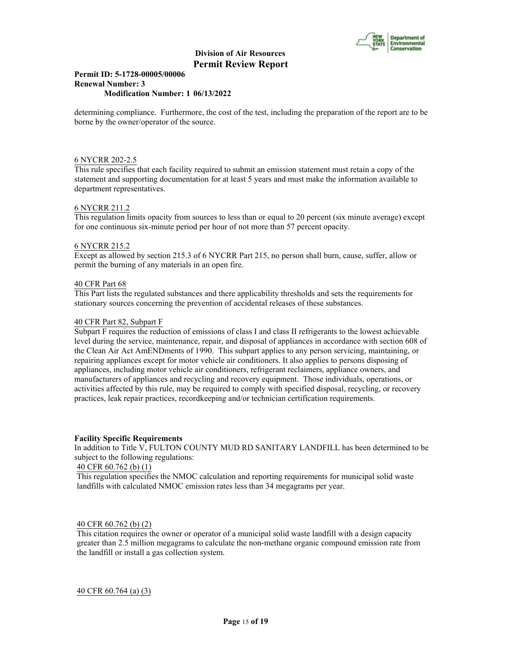

#### **Permit ID: 5-1728-00005/00006 Renewal Number: 3 Modification Number: 1 06/13/2022**

determining compliance. Furthermore, the cost of the test, including the preparation of the report are to be borne by the owner/operator of the source.

#### 6 NYCRR 202-2.5

This rule specifies that each facility required to submit an emission statement must retain a copy of the statement and supporting documentation for at least 5 years and must make the information available to department representatives.

#### 6 NYCRR 211.2

This regulation limits opacity from sources to less than or equal to 20 percent (six minute average) except for one continuous six-minute period per hour of not more than 57 percent opacity.

#### 6 NYCRR 215.2

Except as allowed by section 215.3 of 6 NYCRR Part 215, no person shall burn, cause, suffer, allow or permit the burning of any materials in an open fire.

#### 40 CFR Part 68

This Part lists the regulated substances and there applicability thresholds and sets the requirements for stationary sources concerning the prevention of accidental releases of these substances.

#### 40 CFR Part 82, Subpart F

Subpart F requires the reduction of emissions of class I and class II refrigerants to the lowest achievable level during the service, maintenance, repair, and disposal of appliances in accordance with section 608 of the Clean Air Act AmENDments of 1990. This subpart applies to any person servicing, maintaining, or repairing appliances except for motor vehicle air conditioners. It also applies to persons disposing of appliances, including motor vehicle air conditioners, refrigerant reclaimers, appliance owners, and manufacturers of appliances and recycling and recovery equipment. Those individuals, operations, or activities affected by this rule, may be required to comply with specified disposal, recycling, or recovery practices, leak repair practices, recordkeeping and/or technician certification requirements.

#### **Facility Specific Requirements**

In addition to Title V, FULTON COUNTY MUD RD SANITARY LANDFILL has been determined to be subject to the following regulations:

#### 40 CFR 60.762 (b) (1)

This regulation specifies the NMOC calculation and reporting requirements for municipal solid waste landfills with calculated NMOC emission rates less than 34 megagrams per year.

#### 40 CFR 60.762 (b) (2)

This citation requires the owner or operator of a municipal solid waste landfill with a design capacity greater than 2.5 million megagrams to calculate the non-methane organic compound emission rate from the landfill or install a gas collection system.

40 CFR 60.764 (a) (3)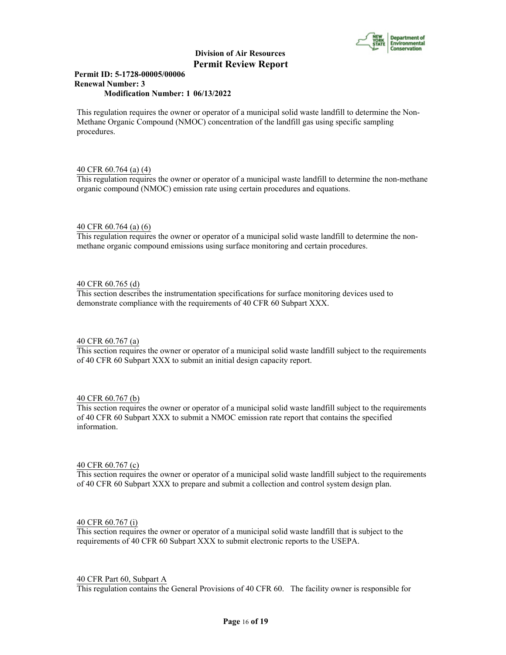

#### **Permit ID: 5-1728-00005/00006 Renewal Number: 3 Modification Number: 1 06/13/2022**

This regulation requires the owner or operator of a municipal solid waste landfill to determine the Non-Methane Organic Compound (NMOC) concentration of the landfill gas using specific sampling procedures.

#### 40 CFR 60.764 (a) (4)

This regulation requires the owner or operator of a municipal waste landfill to determine the non-methane organic compound (NMOC) emission rate using certain procedures and equations.

#### 40 CFR 60.764 (a) (6)

This regulation requires the owner or operator of a municipal solid waste landfill to determine the nonmethane organic compound emissions using surface monitoring and certain procedures.

#### 40 CFR 60.765 (d)

This section describes the instrumentation specifications for surface monitoring devices used to demonstrate compliance with the requirements of 40 CFR 60 Subpart XXX.

#### 40 CFR 60.767 (a)

This section requires the owner or operator of a municipal solid waste landfill subject to the requirements of 40 CFR 60 Subpart XXX to submit an initial design capacity report.

#### 40 CFR 60.767 (b)

This section requires the owner or operator of a municipal solid waste landfill subject to the requirements of 40 CFR 60 Subpart XXX to submit a NMOC emission rate report that contains the specified information.

#### 40 CFR 60.767 (c)

This section requires the owner or operator of a municipal solid waste landfill subject to the requirements of 40 CFR 60 Subpart XXX to prepare and submit a collection and control system design plan.

#### 40 CFR 60.767 (i)

This section requires the owner or operator of a municipal solid waste landfill that is subject to the requirements of 40 CFR 60 Subpart XXX to submit electronic reports to the USEPA.

#### 40 CFR Part 60, Subpart A

This regulation contains the General Provisions of 40 CFR 60. The facility owner is responsible for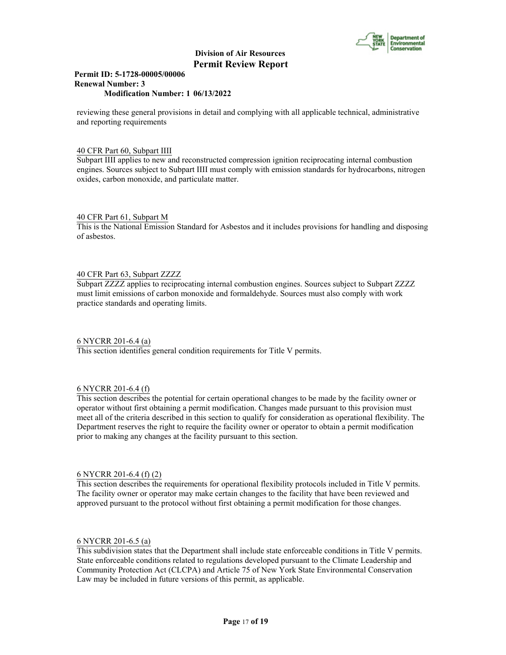

#### **Permit ID: 5-1728-00005/00006 Renewal Number: 3 Modification Number: 1 06/13/2022**

reviewing these general provisions in detail and complying with all applicable technical, administrative and reporting requirements

#### 40 CFR Part 60, Subpart IIII

Subpart IIII applies to new and reconstructed compression ignition reciprocating internal combustion engines. Sources subject to Subpart IIII must comply with emission standards for hydrocarbons, nitrogen oxides, carbon monoxide, and particulate matter.

#### 40 CFR Part 61, Subpart M

This is the National Emission Standard for Asbestos and it includes provisions for handling and disposing of asbestos.

#### 40 CFR Part 63, Subpart ZZZZ

Subpart ZZZZ applies to reciprocating internal combustion engines. Sources subject to Subpart ZZZZ must limit emissions of carbon monoxide and formaldehyde. Sources must also comply with work practice standards and operating limits.

#### 6 NYCRR 201-6.4 (a)

This section identifies general condition requirements for Title V permits.

#### 6 NYCRR 201-6.4 (f)

This section describes the potential for certain operational changes to be made by the facility owner or operator without first obtaining a permit modification. Changes made pursuant to this provision must meet all of the criteria described in this section to qualify for consideration as operational flexibility. The Department reserves the right to require the facility owner or operator to obtain a permit modification prior to making any changes at the facility pursuant to this section.

#### 6 NYCRR 201-6.4 (f) (2)

This section describes the requirements for operational flexibility protocols included in Title V permits. The facility owner or operator may make certain changes to the facility that have been reviewed and approved pursuant to the protocol without first obtaining a permit modification for those changes.

#### 6 NYCRR 201-6.5 (a)

This subdivision states that the Department shall include state enforceable conditions in Title V permits. State enforceable conditions related to regulations developed pursuant to the Climate Leadership and Community Protection Act (CLCPA) and Article 75 of New York State Environmental Conservation Law may be included in future versions of this permit, as applicable.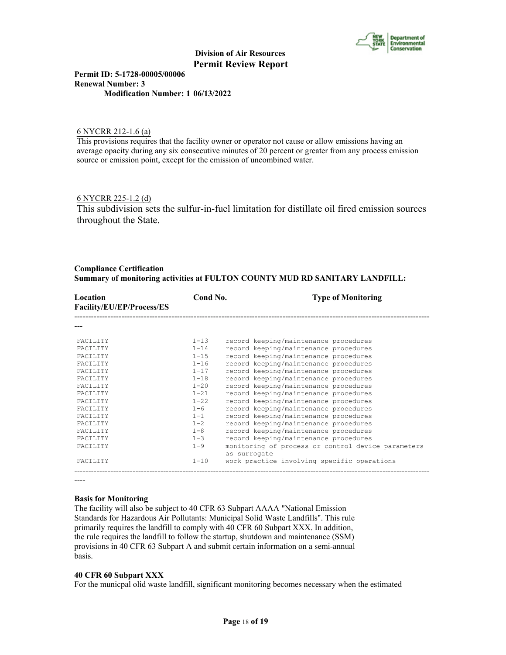

**Permit ID: 5-1728-00005/00006 Renewal Number: 3 Modification Number: 1 06/13/2022**

#### 6 NYCRR 212-1.6 (a)

This provisions requires that the facility owner or operator not cause or allow emissions having an average opacity during any six consecutive minutes of 20 percent or greater from any process emission source or emission point, except for the emission of uncombined water.

#### 6 NYCRR 225-1.2 (d)

This subdivision sets the sulfur-in-fuel limitation for distillate oil fired emission sources throughout the State.

#### **Compliance Certification Summary of monitoring activities at FULTON COUNTY MUD RD SANITARY LANDFILL:**

| Location<br>Facility/EU/EP/Process/ES | Cond No. | <b>Type of Monitoring</b>                                          |
|---------------------------------------|----------|--------------------------------------------------------------------|
|                                       |          |                                                                    |
| <b>FACTLITY</b>                       | $1 - 13$ | record keeping/maintenance procedures                              |
| <b>FACTLITY</b>                       | $1 - 14$ | record keeping/maintenance procedures                              |
| FACTLITY                              | $1 - 15$ | record keeping/maintenance procedures                              |
| <b>FACTLITY</b>                       | $1 - 16$ | record keeping/maintenance procedures                              |
| <b>FACTLITY</b>                       | $1 - 17$ | record keeping/maintenance procedures                              |
| <b>FACTLITY</b>                       | $1 - 18$ | record keeping/maintenance procedures                              |
| FACTLITY                              | $1 - 20$ | record keeping/maintenance procedures                              |
| <b>FACTLITY</b>                       | $1 - 21$ | record keeping/maintenance procedures                              |
| FACTLITY                              | $1 - 22$ | record keeping/maintenance procedures                              |
| <b>FACTLITY</b>                       | $1 - 6$  | record keeping/maintenance procedures                              |
| FACTLITY                              | $1 - 1$  | record keeping/maintenance procedures                              |
| <b>FACTLITY</b>                       | $1 - 2$  | record keeping/maintenance procedures                              |
| <b>FACTLITY</b>                       | $1 - 8$  | record keeping/maintenance procedures                              |
| <b>FACTLITY</b>                       | $1 - 3$  | record keeping/maintenance procedures                              |
| <b>FACTLITY</b>                       | $1 - 9$  | monitoring of process or control device parameters<br>as surrogate |
| <b>FACTLITY</b>                       | $1 - 10$ | work practice involving specific operations                        |

----

#### **Basis for Monitoring**

The facility will also be subject to 40 CFR 63 Subpart AAAA "National Emission Standards for Hazardous Air Pollutants: Municipal Solid Waste Landfills". This rule primarily requires the landfill to comply with 40 CFR 60 Subpart XXX. In addition, the rule requires the landfill to follow the startup, shutdown and maintenance (SSM) provisions in 40 CFR 63 Subpart A and submit certain information on a semi-annual basis.

#### **40 CFR 60 Subpart XXX**

For the municpal olid waste landfill, significant monitoring becomes necessary when the estimated